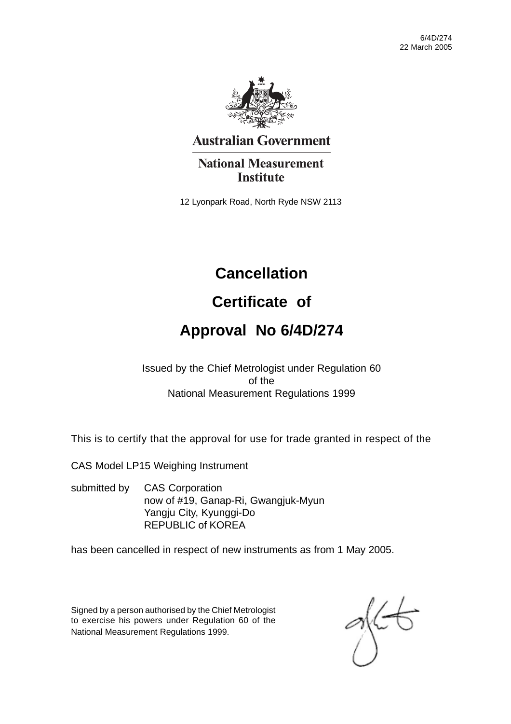

## **Australian Government**

## **National Measurement Institute**

12 Lyonpark Road, North Ryde NSW 2113

# **Cancellation**

# **Certificate of**

# **Approval No 6/4D/274**

Issued by the Chief Metrologist under Regulation 60 of the National Measurement Regulations 1999

This is to certify that the approval for use for trade granted in respect of the

CAS Model LP15 Weighing Instrument

submitted by CAS Corporation now of #19, Ganap-Ri, Gwangjuk-Myun Yangju City, Kyunggi-Do REPUBLIC of KOREA

has been cancelled in respect of new instruments as from 1 May 2005.

Signed by a person authorised by the Chief Metrologist to exercise his powers under Regulation 60 of the National Measurement Regulations 1999.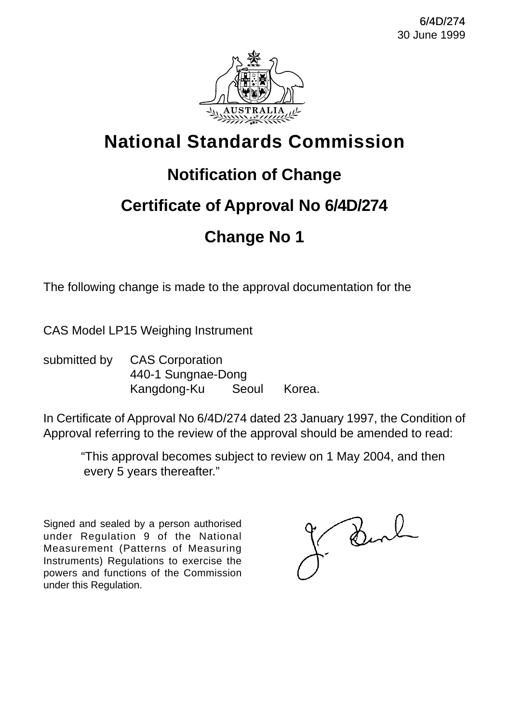

# **Notification of Change**

# **Certificate of Approval No 6/4D/274**

# **Change No 1**

The following change is made to the approval documentation for the

CAS Model LP15 Weighing Instrument

submitted by CAS Corporation 440-1 Sungnae-Dong Kangdong-Ku Seoul Korea.

In Certificate of Approval No 6/4D/274 dated 23 January 1997, the Condition of Approval referring to the review of the approval should be amended to read:

"This approval becomes subject to review on 1 May 2004, and then every 5 years thereafter."

Signed and sealed by a person authorised under Regulation 9 of the National Measurement (Patterns of Measuring Instruments) Regulations to exercise the powers and functions of the Commission under this Regulation.

Bend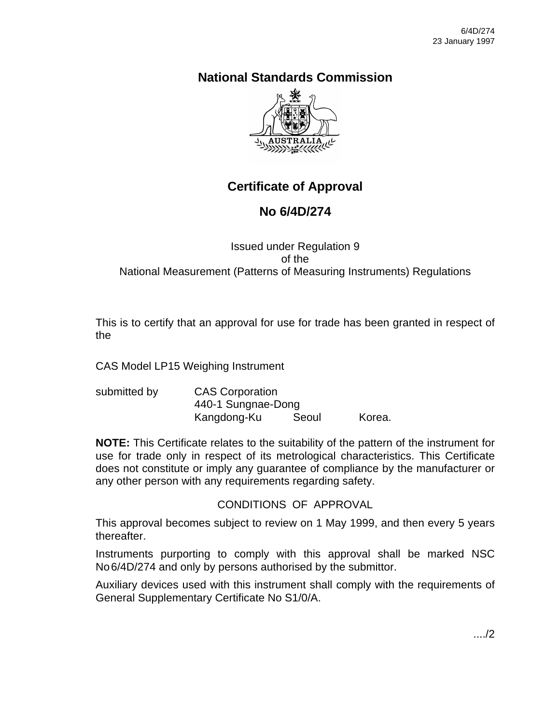

## **Certificate of Approval**

## **No 6/4D/274**

## Issued under Regulation 9 of the National Measurement (Patterns of Measuring Instruments) Regulations

This is to certify that an approval for use for trade has been granted in respect of the

CAS Model LP15 Weighing Instrument

| submitted by | <b>CAS Corporation</b> |       |        |
|--------------|------------------------|-------|--------|
|              | 440-1 Sungnae-Dong     |       |        |
|              | Kangdong-Ku            | Seoul | Korea. |

**NOTE:** This Certificate relates to the suitability of the pattern of the instrument for use for trade only in respect of its metrological characteristics. This Certificate does not constitute or imply any guarantee of compliance by the manufacturer or any other person with any requirements regarding safety.

## CONDITIONS OF APPROVAL

This approval becomes subject to review on 1 May 1999, and then every 5 years thereafter.

Instruments purporting to comply with this approval shall be marked NSC No6/4D/274 and only by persons authorised by the submittor.

Auxiliary devices used with this instrument shall comply with the requirements of General Supplementary Certificate No S1/0/A.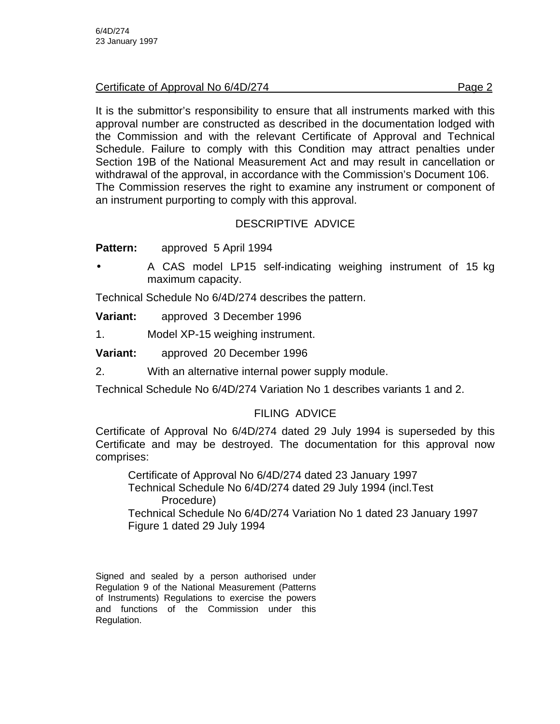Certificate of Approval No 6/4D/274 **Page 2** Page 2

It is the submittor's responsibility to ensure that all instruments marked with this approval number are constructed as described in the documentation lodged with the Commission and with the relevant Certificate of Approval and Technical Schedule. Failure to comply with this Condition may attract penalties under Section 19B of the National Measurement Act and may result in cancellation or withdrawal of the approval, in accordance with the Commission's Document 106. The Commission reserves the right to examine any instrument or component of an instrument purporting to comply with this approval.

## DESCRIPTIVE ADVICE

**Pattern:** approved 5 April 1994

A CAS model LP15 self-indicating weighing instrument of 15 kg maximum capacity.

Technical Schedule No 6/4D/274 describes the pattern.

| <b>Variant:</b> | approved 3 December 1996 |
|-----------------|--------------------------|
|-----------------|--------------------------|

1. Model XP-15 weighing instrument.

**Variant:** approved 20 December 1996

2. With an alternative internal power supply module.

Technical Schedule No 6/4D/274 Variation No 1 describes variants 1 and 2.

## FILING ADVICE

Certificate of Approval No 6/4D/274 dated 29 July 1994 is superseded by this Certificate and may be destroyed. The documentation for this approval now comprises:

Certificate of Approval No 6/4D/274 dated 23 January 1997 Technical Schedule No 6/4D/274 dated 29 July 1994 (incl.Test Procedure) Technical Schedule No 6/4D/274 Variation No 1 dated 23 January 1997 Figure 1 dated 29 July 1994

Signed and sealed by a person authorised under Regulation 9 of the National Measurement (Patterns of Instruments) Regulations to exercise the powers and functions of the Commission under this Regulation.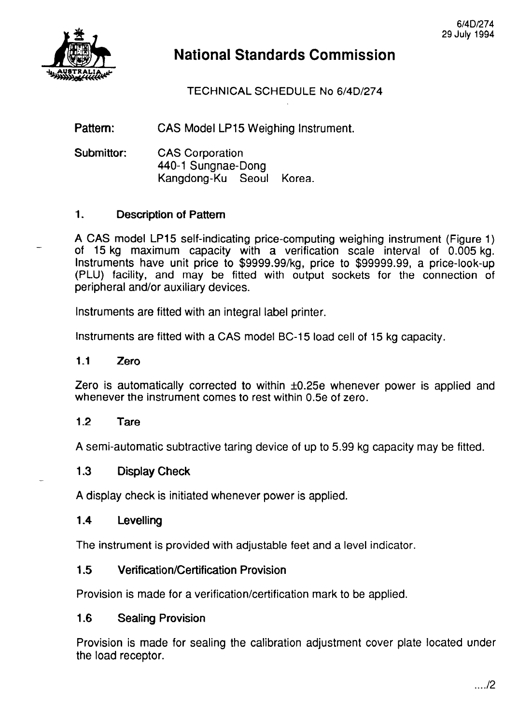

TECHNICAL SCHEDULE No 6/4D/274

Pattern: CAS Model LP15 Weighing Instrument.

Submittor: CAS Corporation 440-l Sungnae-Dong Kangdong-Ku Seoul Korea.

#### 1. Description of Pattern

A CAS model LP15 self-indicating price-computing weighing instrument (Figure 1) of 15 kg maximum capacity with a verification scale interval of 0.005 kg. Instruments have unit price to \$9999.99/kg, price to \$99999.99, a price-look-up (PLU) facility, and may be fitted with output sockets for the connection of peripheral and/or auxiliary devices.

Instruments are fitted with an integral label printer.

Instruments are fitted with a CAS model BC-15 load cell of 15 kg capacity.

#### 1.1 Zero

Zero is automatically corrected to within  $\pm 0.25e$  whenever power is applied and whenever the instrument comes to rest within 0.5e of zero.

#### 1.2 Tare

-

A semi-automatic subtractive taring device of up to 5.99 kg capacity may be fitted.

#### 1.3 Display Check

A display check is initiated whenever power is applied.

#### 1.4 Levelling

The instrument is provided with adjustable feet and a level indicator.

#### 1.5 Verification/Certification Provision

Provision is made for a verification/certification mark to be applied.

#### 1.6 Sealing Provision

Provision is made for sealing the calibration adjustment cover plate located under the load receptor.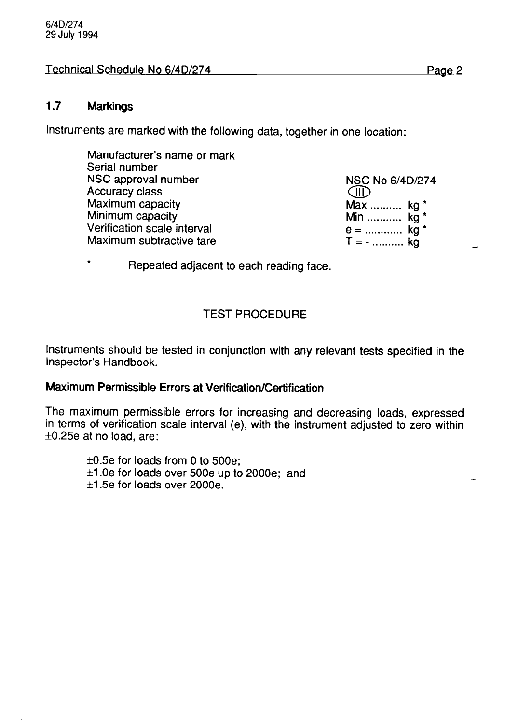#### Technical Schedule No 6/4D/274 Page-2

#### **1.7 Markings**

Instruments are marked with the following data, together in one location:

NSC No 6/4D/274  $CD$ Max .......... kg \* Min ........... kg \* = ............ kg \* ;I-. . . . . . . . . . kg

\* Repeated adjacent to each reading face.

#### TEST PROCEDURE

Instruments should be tested in conjunction with any relevant tests specified in the Inspector's Handbook.

#### **Maximum Permissible Errors at Verification/Certification**

The maximum permissible errors for increasing and decreasing loads, expressed in terms of verification scale interval (e), with the instrument adjusted to zero within  $\pm 0.25e$  at no load, are:

 $\pm 0.5e$  for loads from 0 to 500e;  $\pm$ 1.0e for loads over 500e up to 2000e; and  $±1.5e$  for loads over 2000e.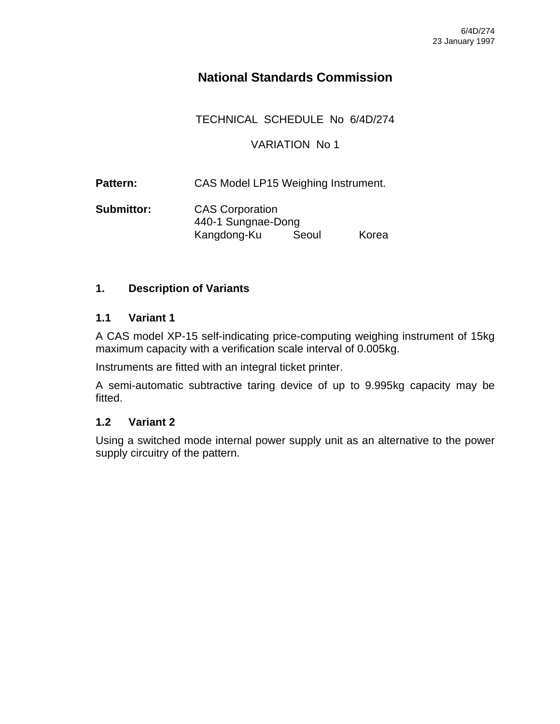TECHNICAL SCHEDULE No 6/4D/274

### VARIATION No 1

Pattern: CAS Model LP15 Weighing Instrument.

**Submittor:** CAS Corporation 440-1 Sungnae-Dong Kangdong-Ku Seoul Korea

### **1. Description of Variants**

### **1.1 Variant 1**

A CAS model XP-15 self-indicating price-computing weighing instrument of 15kg maximum capacity with a verification scale interval of 0.005kg.

Instruments are fitted with an integral ticket printer.

A semi-automatic subtractive taring device of up to 9.995kg capacity may be fitted.

### **1.2 Variant 2**

Using a switched mode internal power supply unit as an alternative to the power supply circuitry of the pattern.